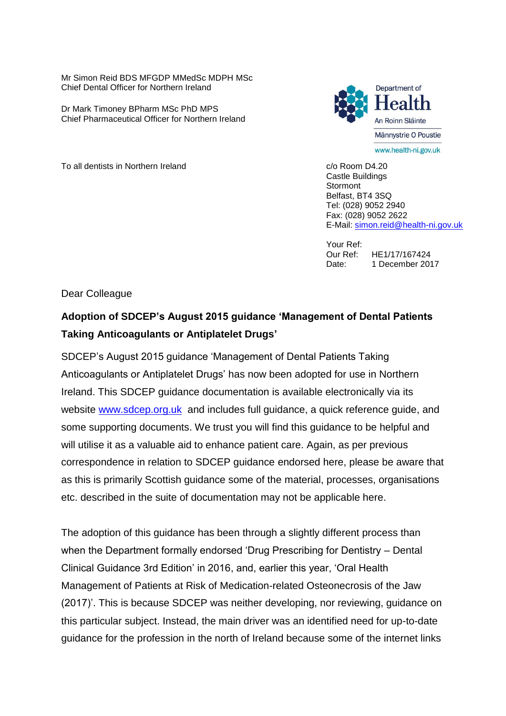Mr Simon Reid BDS MFGDP MMedSc MDPH MSc Chief Dental Officer for Northern Ireland

Dr Mark Timoney BPharm MSc PhD MPS Chief Pharmaceutical Officer for Northern Ireland



To all dentists in Northern Ireland Communication Communication Communication Communication Communication Communication Communication Communication Communication Communication Communication Communication Communication Comm

Castle Buildings Stormont Belfast, BT4 3SQ Tel: (028) 9052 2940 Fax: (028) 9052 2622 E-Mail: [simon.reid@health-ni.gov.uk](mailto:simon.reid@health-ni.gov.uk)

Your Ref: Our Ref: HE1/17/167424 Date: 1 December 2017

Dear Colleague

## **Adoption of SDCEP's August 2015 guidance 'Management of Dental Patients Taking Anticoagulants or Antiplatelet Drugs'**

SDCEP's August 2015 guidance 'Management of Dental Patients Taking Anticoagulants or Antiplatelet Drugs' has now been adopted for use in Northern Ireland. This SDCEP guidance documentation is available electronically via its website [www.sdcep.org.uk](http://www.sdcep.org.uk/) and includes full guidance, a quick reference guide, and some supporting documents. We trust you will find this guidance to be helpful and will utilise it as a valuable aid to enhance patient care. Again, as per previous correspondence in relation to SDCEP guidance endorsed here, please be aware that as this is primarily Scottish guidance some of the material, processes, organisations etc. described in the suite of documentation may not be applicable here.

The adoption of this guidance has been through a slightly different process than when the Department formally endorsed 'Drug Prescribing for Dentistry – Dental Clinical Guidance 3rd Edition' in 2016, and, earlier this year, 'Oral Health Management of Patients at Risk of Medication-related Osteonecrosis of the Jaw (2017)'. This is because SDCEP was neither developing, nor reviewing, guidance on this particular subject. Instead, the main driver was an identified need for up-to-date guidance for the profession in the north of Ireland because some of the internet links